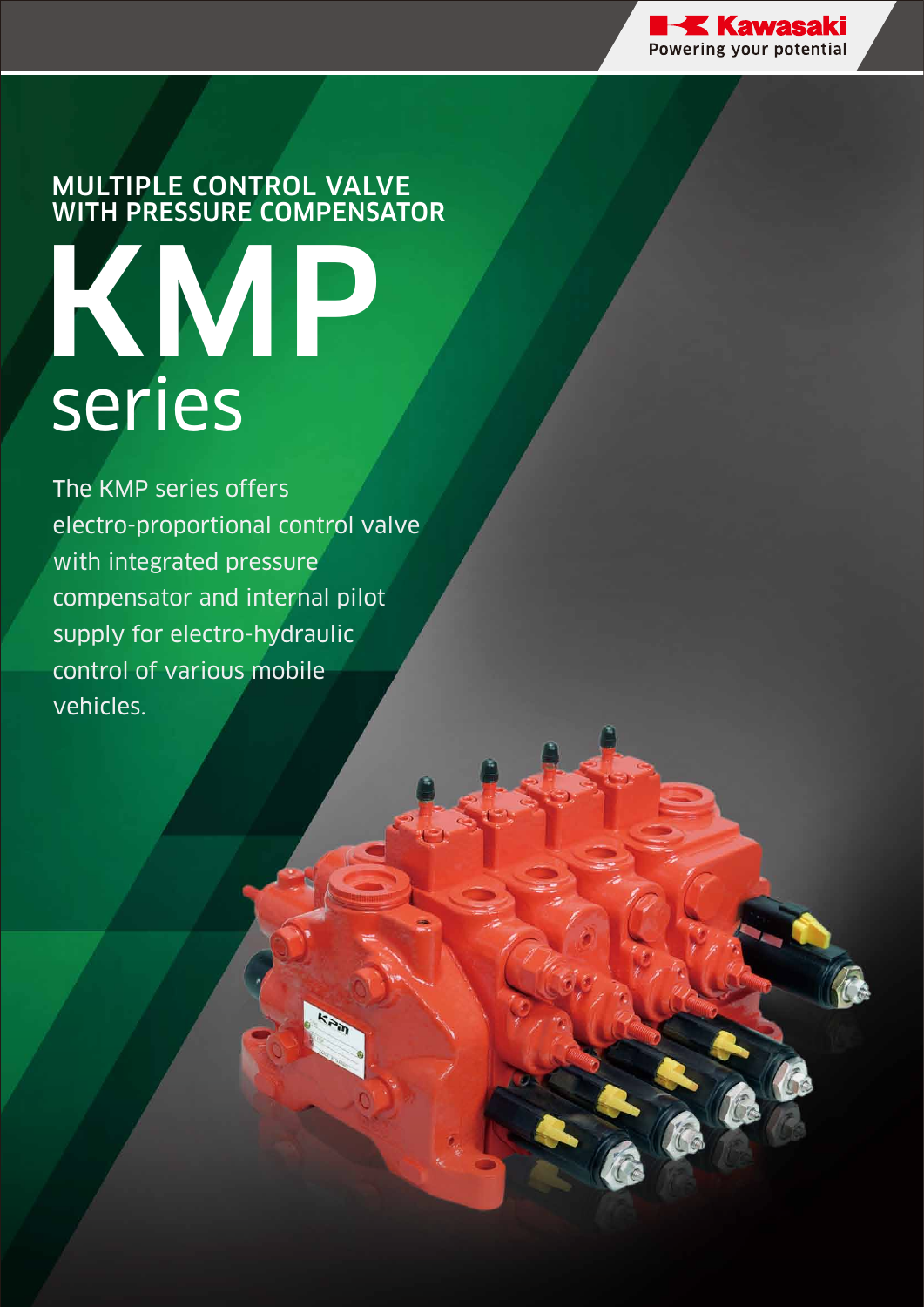

# MULTIPLE CONTROL VALVE WITH PRESSURE COMPENSATOR KMP series

The KMP series offers electro-proportional control valve with integrated pressure compensator and internal pilot supply for electro-hydraulic control of various mobile vehicles.